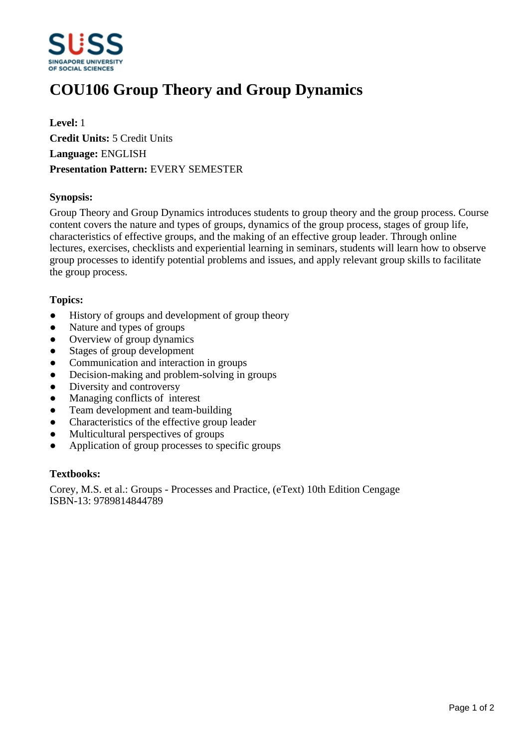

# **COU106 Group Theory and Group Dynamics**

**Level:** 1 **Credit Units:** 5 Credit Units **Language:** ENGLISH **Presentation Pattern:** EVERY SEMESTER

#### **Synopsis:**

Group Theory and Group Dynamics introduces students to group theory and the group process. Course content covers the nature and types of groups, dynamics of the group process, stages of group life, characteristics of effective groups, and the making of an effective group leader. Through online lectures, exercises, checklists and experiential learning in seminars, students will learn how to observe group processes to identify potential problems and issues, and apply relevant group skills to facilitate the group process.

# **Topics:**

- History of groups and development of group theory
- Nature and types of groups
- Overview of group dynamics
- Stages of group development
- ƔCommunication and interaction in groups
- Decision-making and problem-solving in groups
- Diversity and controversy
- Managing conflicts of interest
- ƔTeam development and team-building
- Characteristics of the effective group leader
- ƔMulticultural perspectives of groups
- Application of group processes to specific groups

#### **Textbooks:**

Corey, M.S. et al.: Groups - Processes and Practice, (eText) 10th Edition Cengage ISBN-13: 9789814844789